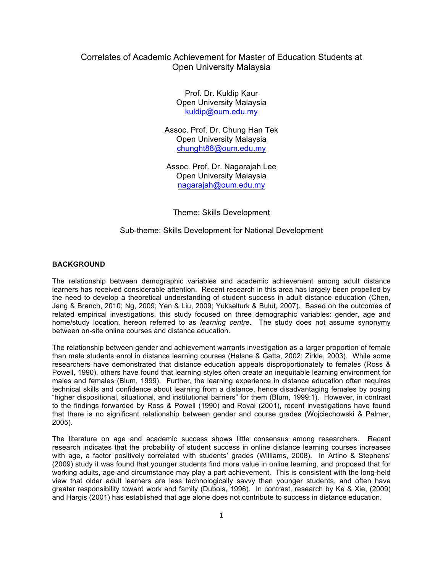# Correlates of Academic Achievement for Master of Education Students at Open University Malaysia

Prof. Dr. Kuldip Kaur Open University Malaysia kuldip@oum.edu.my

Assoc. Prof. Dr. Chung Han Tek Open University Malaysia chunght88@oum.edu.my

Assoc. Prof. Dr. Nagarajah Lee Open University Malaysia nagarajah@oum.edu.my

Theme: Skills Development

### Sub-theme: Skills Development for National Development

#### **BACKGROUND**

The relationship between demographic variables and academic achievement among adult distance learners has received considerable attention. Recent research in this area has largely been propelled by the need to develop a theoretical understanding of student success in adult distance education (Chen, Jang & Branch, 2010; Ng, 2009; Yen & Liu, 2009; Yukselturk & Bulut, 2007). Based on the outcomes of related empirical investigations, this study focused on three demographic variables: gender, age and home/study location, hereon referred to as *learning centre*. The study does not assume synonymy between on-site online courses and distance education.

The relationship between gender and achievement warrants investigation as a larger proportion of female than male students enrol in distance learning courses (Halsne & Gatta, 2002; Zirkle, 2003). While some researchers have demonstrated that distance education appeals disproportionately to females (Ross & Powell, 1990), others have found that learning styles often create an inequitable learning environment for males and females (Blum, 1999). Further, the learning experience in distance education often requires technical skills and confidence about learning from a distance, hence disadvantaging females by posing "higher dispositional, situational, and institutional barriers" for them (Blum, 1999:1). However, in contrast to the findings forwarded by Ross & Powell (1990) and Rovai (2001), recent investigations have found that there is no significant relationship between gender and course grades (Wojciechowski & Palmer, 2005).

The literature on age and academic success shows little consensus among researchers. Recent research indicates that the probability of student success in online distance learning courses increases with age, a factor positively correlated with students' grades (Williams, 2008). In Artino & Stephens' (2009) study it was found that younger students find more value in online learning, and proposed that for working adults, age and circumstance may play a part achievement. This is consistent with the long-held view that older adult learners are less technologically savvy than younger students, and often have greater responsibility toward work and family (Dubois, 1996). In contrast, research by Ke & Xie, (2009) and Hargis (2001) has established that age alone does not contribute to success in distance education.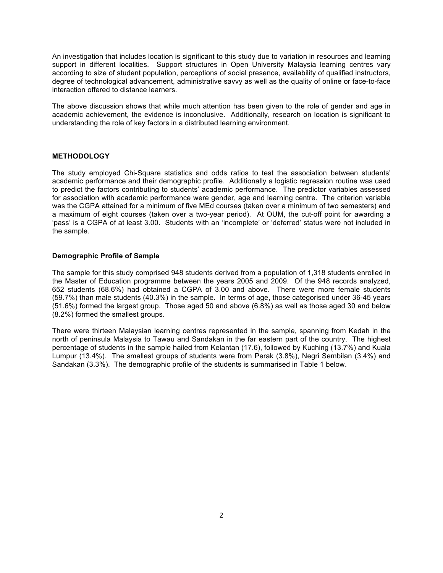An investigation that includes location is significant to this study due to variation in resources and learning support in different localities. Support structures in Open University Malaysia learning centres vary according to size of student population, perceptions of social presence, availability of qualified instructors, degree of technological advancement, administrative savvy as well as the quality of online or face-to-face interaction offered to distance learners.

The above discussion shows that while much attention has been given to the role of gender and age in academic achievement, the evidence is inconclusive. Additionally, research on location is significant to understanding the role of key factors in a distributed learning environment.

## **METHODOLOGY**

The study employed Chi-Square statistics and odds ratios to test the association between students' academic performance and their demographic profile. Additionally a logistic regression routine was used to predict the factors contributing to students' academic performance. The predictor variables assessed for association with academic performance were gender, age and learning centre. The criterion variable was the CGPA attained for a minimum of five MEd courses (taken over a minimum of two semesters) and a maximum of eight courses (taken over a two-year period). At OUM, the cut-off point for awarding a 'pass' is a CGPA of at least 3.00. Students with an 'incomplete' or 'deferred' status were not included in the sample.

#### **Demographic Profile of Sample**

The sample for this study comprised 948 students derived from a population of 1,318 students enrolled in the Master of Education programme between the years 2005 and 2009. Of the 948 records analyzed, 652 students (68.6%) had obtained a CGPA of 3.00 and above. There were more female students (59.7%) than male students (40.3%) in the sample. In terms of age, those categorised under 36-45 years (51.6%) formed the largest group. Those aged 50 and above (6.8%) as well as those aged 30 and below (8.2%) formed the smallest groups.

There were thirteen Malaysian learning centres represented in the sample, spanning from Kedah in the north of peninsula Malaysia to Tawau and Sandakan in the far eastern part of the country. The highest percentage of students in the sample hailed from Kelantan (17.6), followed by Kuching (13.7%) and Kuala Lumpur (13.4%). The smallest groups of students were from Perak (3.8%), Negri Sembilan (3.4%) and Sandakan (3.3%). The demographic profile of the students is summarised in Table 1 below.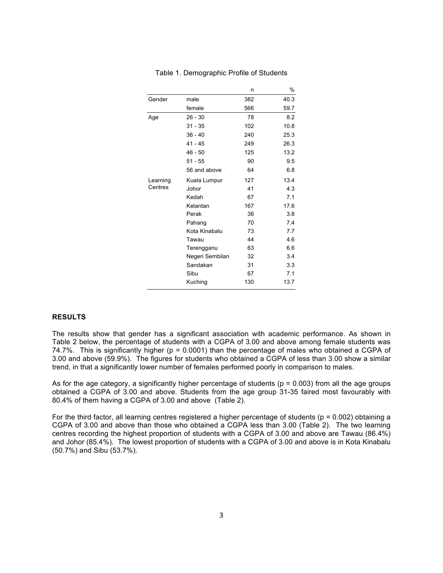|          |                 | n   | %    |
|----------|-----------------|-----|------|
| Gender   | male            | 382 | 40.3 |
|          | female          | 566 | 59.7 |
| Age      | $26 - 30$       | 78  | 8.2  |
|          | $31 - 35$       | 102 | 10.8 |
|          | $36 - 40$       | 240 | 25.3 |
|          | $41 - 45$       | 249 | 26.3 |
|          | $46 - 50$       | 125 | 13.2 |
|          | $51 - 55$       | 90  | 9.5  |
|          | 56 and above    | 64  | 6.8  |
| Learning | Kuala Lumpur    | 127 | 13.4 |
| Centres  | Johor           | 41  | 4.3  |
|          | Kedah           | 67  | 7.1  |
|          | Kelantan        | 167 | 17.6 |
|          | Perak           | 36  | 3.8  |
|          | Pahang          | 70  | 7.4  |
|          | Kota Kinabalu   | 73  | 7.7  |
|          | Tawau           | 44  | 4.6  |
|          | Terengganu      | 63  | 6.6  |
|          | Negeri Sembilan | 32  | 3.4  |
|          | Sandakan        | 31  | 3.3  |
|          | Sibu            | 67  | 7.1  |
|          | Kuching         | 130 | 13.7 |

#### Table 1. Demographic Profile of Students

#### **RESULTS**

The results show that gender has a significant association with academic performance. As shown in Table 2 below, the percentage of students with a CGPA of 3.00 and above among female students was 74.7%. This is significantly higher (p = 0.0001) than the percentage of males who obtained a CGPA of 3.00 and above (59.9%). The figures for students who obtained a CGPA of less than 3.00 show a similar trend, in that a significantly lower number of females performed poorly in comparison to males.

As for the age category, a significantly higher percentage of students ( $p = 0.003$ ) from all the age groups obtained a CGPA of 3.00 and above. Students from the age group 31-35 faired most favourably with 80.4% of them having a CGPA of 3.00 and above (Table 2).

For the third factor, all learning centres registered a higher percentage of students ( $p = 0.002$ ) obtaining a CGPA of 3.00 and above than those who obtained a CGPA less than 3.00 (Table 2). The two learning centres recording the highest proportion of students with a CGPA of 3.00 and above are Tawau (86.4%) and Johor (85.4%). The lowest proportion of students with a CGPA of 3.00 and above is in Kota Kinabalu (50.7%) and Sibu (53.7%).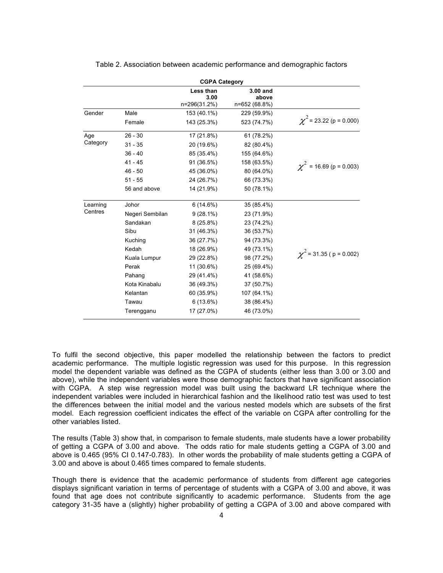| <b>CGPA Category</b> |                 |                                   |                                      |                               |  |
|----------------------|-----------------|-----------------------------------|--------------------------------------|-------------------------------|--|
|                      |                 | Less than<br>3.00<br>n=296(31.2%) | $3.00$ and<br>above<br>n=652 (68.8%) |                               |  |
| Gender               | Male            | 153 (40.1%)                       | 229 (59.9%)                          |                               |  |
|                      | Female          | 143 (25.3%)                       | 523 (74.7%)                          | $\chi^2$ = 23.22 (p = 0.000)  |  |
| Age                  | $26 - 30$       | 17 (21.8%)                        | 61 (78.2%)                           |                               |  |
| Category             | $31 - 35$       | 20 (19.6%)                        | 82 (80.4%)                           |                               |  |
|                      | $36 - 40$       | 85 (35.4%)                        | 155 (64.6%)                          |                               |  |
|                      | $41 - 45$       | 91 (36.5%)                        | 158 (63.5%)                          | $\chi^2$ = 16.69 (p = 0.003)  |  |
|                      | $46 - 50$       | 45 (36.0%)                        | 80 (64.0%)                           |                               |  |
|                      | $51 - 55$       | 24 (26.7%)                        | 66 (73.3%)                           |                               |  |
|                      | 56 and above    | 14 (21.9%)                        | 50 (78.1%)                           |                               |  |
| Learning             | Johor           | 6(14.6%)                          | 35 (85.4%)                           |                               |  |
| Centres              | Negeri Sembilan | $9(28.1\%)$                       | 23 (71.9%)                           |                               |  |
|                      | Sandakan        | $8(25.8\%)$                       | 23 (74.2%)                           |                               |  |
|                      | Sibu            | 31 (46.3%)                        | 36 (53.7%)                           |                               |  |
|                      | Kuching         | 36 (27.7%)                        | 94 (73.3%)                           |                               |  |
|                      | Kedah           | 18 (26.9%)                        | 49 (73.1%)                           |                               |  |
|                      | Kuala Lumpur    | 29 (22.8%)                        | 98 (77.2%)                           | $\chi^2$ = 31.35 ( p = 0.002) |  |
|                      | Perak           | 11 (30.6%)                        | 25 (69.4%)                           |                               |  |
|                      | Pahang          | 29 (41.4%)                        | 41 (58.6%)                           |                               |  |
|                      | Kota Kinabalu   | 36 (49.3%)                        | 37 (50.7%)                           |                               |  |
|                      | Kelantan        | 60 (35.9%)                        | 107 (64.1%)                          |                               |  |
|                      | Tawau           | 6(13.6%)                          | 38 (86.4%)                           |                               |  |
|                      | Terengganu      | 17 (27.0%)                        | 46 (73.0%)                           |                               |  |

Table 2. Association between academic performance and demographic factors

To fulfil the second objective, this paper modelled the relationship between the factors to predict academic performance. The multiple logistic regression was used for this purpose. In this regression model the dependent variable was defined as the CGPA of students (either less than 3.00 or 3.00 and above), while the independent variables were those demographic factors that have significant association with CGPA. A step wise regression model was built using the backward LR technique where the independent variables were included in hierarchical fashion and the likelihood ratio test was used to test the differences between the initial model and the various nested models which are subsets of the first model. Each regression coefficient indicates the effect of the variable on CGPA after controlling for the other variables listed.

The results (Table 3) show that, in comparison to female students, male students have a lower probability of getting a CGPA of 3.00 and above. The odds ratio for male students getting a CGPA of 3.00 and above is 0.465 (95% CI 0.147-0.783). In other words the probability of male students getting a CGPA of 3.00 and above is about 0.465 times compared to female students.

Though there is evidence that the academic performance of students from different age categories displays significant variation in terms of percentage of students with a CGPA of 3.00 and above, it was found that age does not contribute significantly to academic performance. Students from the age category 31-35 have a (slightly) higher probability of getting a CGPA of 3.00 and above compared with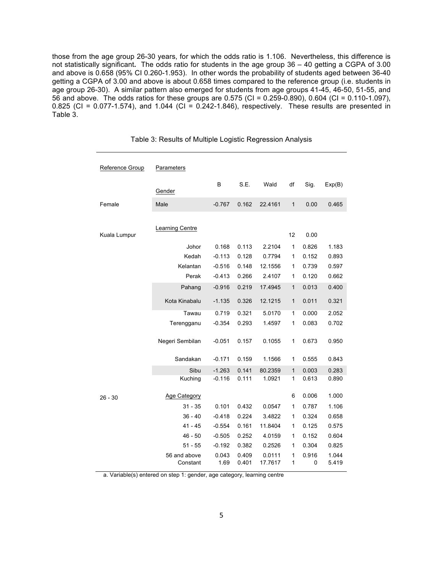those from the age group 26-30 years, for which the odds ratio is 1.106. Nevertheless, this difference is not statistically significant**.** The odds ratio for students in the age group 36 – 40 getting a CGPA of 3.00 and above is 0.658 (95% CI 0.260-1.953). In other words the probability of students aged between 36-40 getting a CGPA of 3.00 and above is about 0.658 times compared to the reference group (i.e. students in age group 26-30). A similar pattern also emerged for students from age groups 41-45, 46-50, 51-55, and 56 and above. The odds ratios for these groups are 0.575 (CI = 0.259-0.890), 0.604 (CI = 0.110-1.097), 0.825 (CI = 0.077-1.574), and 1.044 (CI = 0.242-1.846), respectively. These results are presented in Table 3.

| Reference Group | Parameters               |               |                |                   |              |            |                |
|-----------------|--------------------------|---------------|----------------|-------------------|--------------|------------|----------------|
|                 | Gender                   | B             | S.E.           | Wald              | df           | Sig.       | Exp(B)         |
| Female          | Male                     | $-0.767$      | 0.162          | 22.4161           | $\mathbf{1}$ | 0.00       | 0.465          |
|                 |                          |               |                |                   |              |            |                |
| Kuala Lumpur    | Learning Centre          |               |                |                   | 12           | 0.00       |                |
|                 | Johor                    | 0.168         | 0.113          | 2.2104            | 1            | 0.826      | 1.183          |
|                 | Kedah                    | $-0.113$      | 0.128          | 0.7794            | 1            | 0.152      | 0.893          |
|                 | Kelantan                 | $-0.516$      | 0.148          | 12.1556           | 1            | 0.739      | 0.597          |
|                 | Perak                    | $-0.413$      | 0.266          | 2.4107            | 1            | 0.120      | 0.662          |
|                 | Pahang                   | $-0.916$      | 0.219          | 17.4945           | $\mathbf{1}$ | 0.013      | 0.400          |
|                 | Kota Kinabalu            | $-1.135$      | 0.326          | 12.1215           | $\mathbf{1}$ | 0.011      | 0.321          |
|                 | Tawau                    | 0.719         | 0.321          | 5.0170            | 1            | 0.000      | 2.052          |
|                 | Terengganu               | $-0.354$      | 0.293          | 1.4597            | 1            | 0.083      | 0.702          |
|                 | Negeri Sembilan          | $-0.051$      | 0.157          | 0.1055            | 1            | 0.673      | 0.950          |
|                 | Sandakan                 | $-0.171$      | 0.159          | 1.1566            | 1            | 0.555      | 0.843          |
|                 | Sibu                     | $-1.263$      | 0.141          | 80.2359           | $\mathbf{1}$ | 0.003      | 0.283          |
|                 | Kuching                  | $-0.116$      | 0.111          | 1.0921            | 1            | 0.613      | 0.890          |
| $26 - 30$       | <b>Age Category</b>      |               |                |                   | 6            | 0.006      | 1.000          |
|                 | $31 - 35$                | 0.101         | 0.432          | 0.0547            | 1            | 0.787      | 1.106          |
|                 | $36 - 40$                | $-0.418$      | 0.224          | 3.4822            | 1            | 0.324      | 0.658          |
|                 | $41 - 45$                | $-0.554$      | 0.161          | 11.8404           | 1            | 0.125      | 0.575          |
|                 | $46 - 50$                | $-0.505$      | 0.252          | 4.0159            | 1            | 0.152      | 0.604          |
|                 | $51 - 55$                | $-0.192$      | 0.382          | 0.2526            | 1            | 0.304      | 0.825          |
|                 | 56 and above<br>Constant | 0.043<br>1.69 | 0.409<br>0.401 | 0.0111<br>17.7617 | 1<br>1       | 0.916<br>0 | 1.044<br>5.419 |

Table 3: Results of Multiple Logistic Regression Analysis

a. Variable(s) entered on step 1: gender, age category, learning centre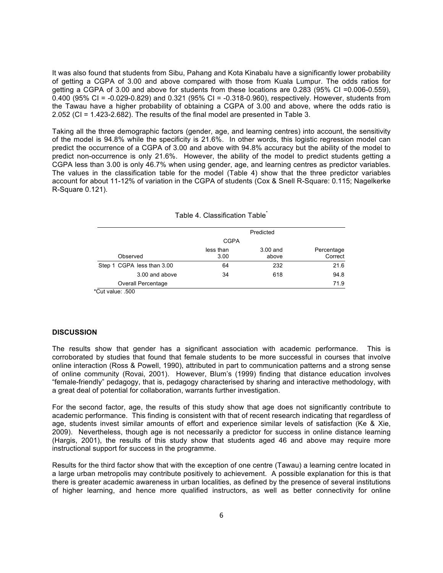It was also found that students from Sibu, Pahang and Kota Kinabalu have a significantly lower probability of getting a CGPA of 3.00 and above compared with those from Kuala Lumpur. The odds ratios for getting a CGPA of 3.00 and above for students from these locations are 0.283 (95% CI =0.006-0.559), 0.400 (95% CI = -0.029-0.829) and 0.321 (95% CI = -0.318-0.960), respectively. However, students from the Tawau have a higher probability of obtaining a CGPA of 3.00 and above, where the odds ratio is 2.052 (CI = 1.423-2.682). The results of the final model are presented in Table 3.

Taking all the three demographic factors (gender, age, and learning centres) into account, the sensitivity of the model is 94.8% while the specificity is 21.6%. In other words, this logistic regression model can predict the occurrence of a CGPA of 3.00 and above with 94.8% accuracy but the ability of the model to predict non-occurrence is only 21.6%. However, the ability of the model to predict students getting a CGPA less than 3.00 is only 46.7% when using gender, age, and learning centres as predictor variables. The values in the classification table for the model (Table 4) show that the three predictor variables account for about 11-12% of variation in the CGPA of students (Cox & Snell R-Square: 0.115; Nagelkerke R-Square 0.121).

|                            |                   | Predicted         |                       |
|----------------------------|-------------------|-------------------|-----------------------|
|                            | <b>CGPA</b>       |                   |                       |
| Observed                   | less than<br>3.00 | 3.00 and<br>above | Percentage<br>Correct |
| Step 1 CGPA less than 3.00 | 64                | 232               | 21.6                  |
| 3.00 and above             | 34                | 618               | 94.8                  |
| Overall Percentage         |                   |                   | 71.9                  |

| Table 4. Classification Table |  |
|-------------------------------|--|
|                               |  |
|                               |  |

Cut value: .500

#### **DISCUSSION**

The results show that gender has a significant association with academic performance. This is corroborated by studies that found that female students to be more successful in courses that involve online interaction (Ross & Powell, 1990), attributed in part to communication patterns and a strong sense of online community (Rovai, 2001). However, Blum's (1999) finding that distance education involves "female-friendly" pedagogy, that is, pedagogy characterised by sharing and interactive methodology, with a great deal of potential for collaboration, warrants further investigation.

For the second factor, age, the results of this study show that age does not significantly contribute to academic performance. This finding is consistent with that of recent research indicating that regardless of age, students invest similar amounts of effort and experience similar levels of satisfaction (Ke & Xie, 2009). Nevertheless, though age is not necessarily a predictor for success in online distance learning (Hargis, 2001), the results of this study show that students aged 46 and above may require more instructional support for success in the programme.

Results for the third factor show that with the exception of one centre (Tawau) a learning centre located in a large urban metropolis may contribute positively to achievement. A possible explanation for this is that there is greater academic awareness in urban localities, as defined by the presence of several institutions of higher learning, and hence more qualified instructors, as well as better connectivity for online